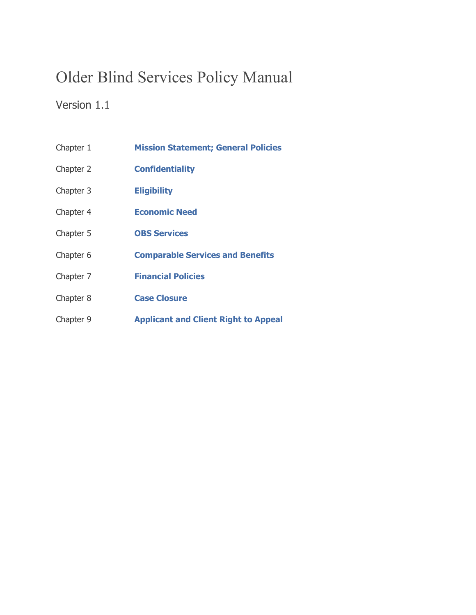# Older Blind Services Policy Manual

### Version 1.1

- Chapter 1 **[Mission Statement; General Policies](https://dssmanuals.mo.gov/older-blind-services-policy-manual/obs-chapter-1/)**
- Chapter 2 **[Confidentiality](https://dssmanuals.mo.gov/older-blind-services-policy-manual/obs-chapter-2/)**
- Chapter 3 **[Eligibility](https://dssmanuals.mo.gov/older-blind-services-policy-manual/obs-chapter-3/)**
- Chapter 4 **[Economic Need](https://dssmanuals.mo.gov/older-blind-services-policy-manual/obs-chapter-4/)**
- Chapter 5 **[OBS Services](https://dssmanuals.mo.gov/older-blind-services-policy-manual/obs-chapter-5/)**
- Chapter 6 **[Comparable Services and Benefits](https://dssmanuals.mo.gov/older-blind-services-policy-manual/obs-chapter-6/)**
- Chapter 7 **[Financial Policies](https://dssmanuals.mo.gov/older-blind-services-policy-manual/obs-chapter-7/)**
- Chapter 8 **[Case Closure](https://dssmanuals.mo.gov/older-blind-services-policy-manual/obs-chapter-8/)**
- Chapter 9 **[Applicant and Client Right to Appeal](https://dssmanuals.mo.gov/older-blind-services-policy-manual/obs-chapter-9/)**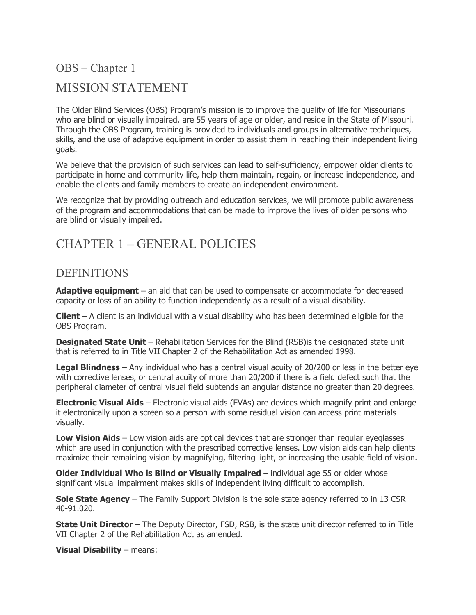OBS – Chapter 1 MISSION STATEMENT

The Older Blind Services (OBS) Program's mission is to improve the quality of life for Missourians who are blind or visually impaired, are 55 years of age or older, and reside in the State of Missouri. Through the OBS Program, training is provided to individuals and groups in alternative techniques, skills, and the use of adaptive equipment in order to assist them in reaching their independent living goals.

We believe that the provision of such services can lead to self-sufficiency, empower older clients to participate in home and community life, help them maintain, regain, or increase independence, and enable the clients and family members to create an independent environment.

We recognize that by providing outreach and education services, we will promote public awareness of the program and accommodations that can be made to improve the lives of older persons who are blind or visually impaired.

## CHAPTER 1 – GENERAL POLICIES

#### DEFINITIONS

**Adaptive equipment** – an aid that can be used to compensate or accommodate for decreased capacity or loss of an ability to function independently as a result of a visual disability.

**Client** – A client is an individual with a visual disability who has been determined eligible for the OBS Program.

**Designated State Unit** – Rehabilitation Services for the Blind (RSB) is the designated state unit that is referred to in Title VII Chapter 2 of the Rehabilitation Act as amended 1998.

**Legal Blindness** – Any individual who has a central visual acuity of 20/200 or less in the better eye with corrective lenses, or central acuity of more than 20/200 if there is a field defect such that the peripheral diameter of central visual field subtends an angular distance no greater than 20 degrees.

**Electronic Visual Aids** – Electronic visual aids (EVAs) are devices which magnify print and enlarge it electronically upon a screen so a person with some residual vision can access print materials visually.

**Low Vision Aids** – Low vision aids are optical devices that are stronger than regular eyeglasses which are used in conjunction with the prescribed corrective lenses. Low vision aids can help clients maximize their remaining vision by magnifying, filtering light, or increasing the usable field of vision.

**Older Individual Who is Blind or Visually Impaired** – individual age 55 or older whose significant visual impairment makes skills of independent living difficult to accomplish.

**Sole State Agency** – The Family Support Division is the sole state agency referred to in 13 CSR 40-91.020.

**State Unit Director** – The Deputy Director, FSD, RSB, is the state unit director referred to in Title VII Chapter 2 of the Rehabilitation Act as amended.

**Visual Disability** – means: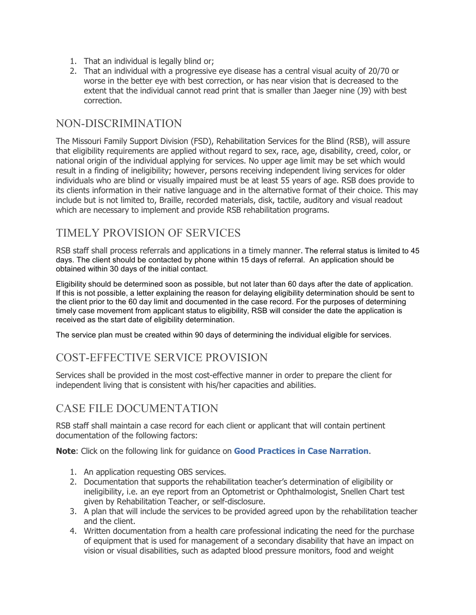- 1. That an individual is legally blind or;
- 2. That an individual with a progressive eye disease has a central visual acuity of 20/70 or worse in the better eye with best correction, or has near vision that is decreased to the extent that the individual cannot read print that is smaller than Jaeger nine (J9) with best correction.

#### NON-DISCRIMINATION

The Missouri Family Support Division (FSD), Rehabilitation Services for the Blind (RSB), will assure that eligibility requirements are applied without regard to sex, race, age, disability, creed, color, or national origin of the individual applying for services. No upper age limit may be set which would result in a finding of ineligibility; however, persons receiving independent living services for older individuals who are blind or visually impaired must be at least 55 years of age. RSB does provide to its clients information in their native language and in the alternative format of their choice. This may include but is not limited to, Braille, recorded materials, disk, tactile, auditory and visual readout which are necessary to implement and provide RSB rehabilitation programs.

### TIMELY PROVISION OF SERVICES

RSB staff shall process referrals and applications in a timely manner. The referral status is limited to 45 days. The client should be contacted by phone within 15 days of referral. An application should be obtained within 30 days of the initial contact.

Eligibility should be determined soon as possible, but not later than 60 days after the date of application. If this is not possible, a letter explaining the reason for delaying eligibility determination should be sent to the client prior to the 60 day limit and documented in the case record. For the purposes of determining timely case movement from applicant status to eligibility, RSB will consider the date the application is received as the start date of eligibility determination.

The service plan must be created within 90 days of determining the individual eligible for services.

### COST-EFFECTIVE SERVICE PROVISION

Services shall be provided in the most cost-effective manner in order to prepare the client for independent living that is consistent with his/her capacities and abilities.

### CASE FILE DOCUMENTATION

RSB staff shall maintain a case record for each client or applicant that will contain pertinent documentation of the following factors:

**Note**: Click on the following link for guidance on **[Good Practices in Case Narration](https://dssmanuals.mo.gov/wp-content/uploads/2018/10/casnar0408.doc)**.

- 1. An application requesting OBS services.
- 2. Documentation that supports the rehabilitation teacher's determination of eligibility or ineligibility, i.e. an eye report from an Optometrist or Ophthalmologist, Snellen Chart test given by Rehabilitation Teacher, or self-disclosure.
- 3. A plan that will include the services to be provided agreed upon by the rehabilitation teacher and the client.
- 4. Written documentation from a health care professional indicating the need for the purchase of equipment that is used for management of a secondary disability that have an impact on vision or visual disabilities, such as adapted blood pressure monitors, food and weight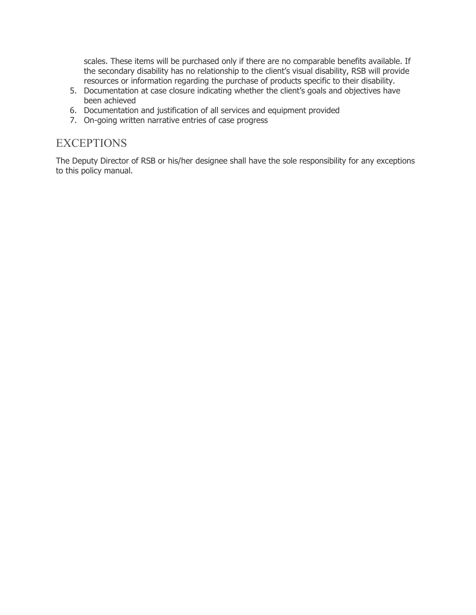scales. These items will be purchased only if there are no comparable benefits available. If the secondary disability has no relationship to the client's visual disability, RSB will provide resources or information regarding the purchase of products specific to their disability.

- 5. Documentation at case closure indicating whether the client's goals and objectives have been achieved
- 6. Documentation and justification of all services and equipment provided
- 7. On-going written narrative entries of case progress

#### **EXCEPTIONS**

The Deputy Director of RSB or his/her designee shall have the sole responsibility for any exceptions to this policy manual.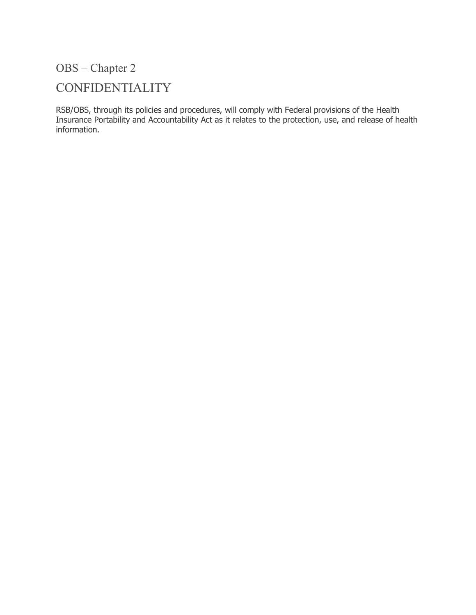# CONFIDENTIALITY

RSB/OBS, through its policies and procedures, will comply with Federal provisions of the Health Insurance Portability and Accountability Act as it relates to the protection, use, and release of health information.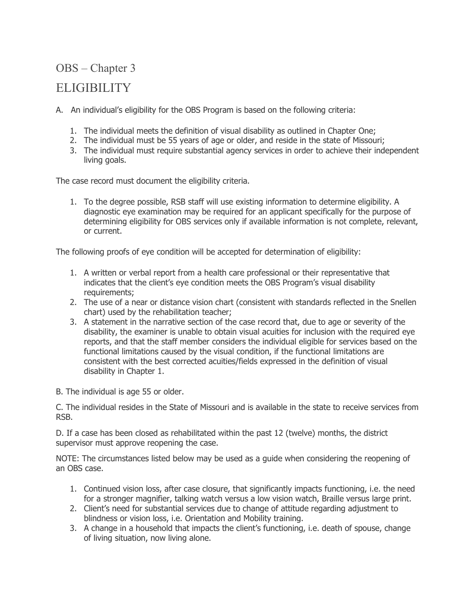### ELIGIBILITY

A. An individual's eligibility for the OBS Program is based on the following criteria:

- 1. The individual meets the definition of visual disability as outlined in Chapter One;
- 2. The individual must be 55 years of age or older, and reside in the state of Missouri;
- 3. The individual must require substantial agency services in order to achieve their independent living goals.

The case record must document the eligibility criteria.

1. To the degree possible, RSB staff will use existing information to determine eligibility. A diagnostic eye examination may be required for an applicant specifically for the purpose of determining eligibility for OBS services only if available information is not complete, relevant, or current.

The following proofs of eye condition will be accepted for determination of eligibility:

- 1. A written or verbal report from a health care professional or their representative that indicates that the client's eye condition meets the OBS Program's visual disability requirements;
- 2. The use of a near or distance vision chart (consistent with standards reflected in the Snellen chart) used by the rehabilitation teacher;
- 3. A statement in the narrative section of the case record that, due to age or severity of the disability, the examiner is unable to obtain visual acuities for inclusion with the required eye reports, and that the staff member considers the individual eligible for services based on the functional limitations caused by the visual condition, if the functional limitations are consistent with the best corrected acuities/fields expressed in the definition of visual disability in Chapter 1.

B. The individual is age 55 or older.

C. The individual resides in the State of Missouri and is available in the state to receive services from RSB.

D. If a case has been closed as rehabilitated within the past 12 (twelve) months, the district supervisor must approve reopening the case.

NOTE: The circumstances listed below may be used as a guide when considering the reopening of an OBS case.

- 1. Continued vision loss, after case closure, that significantly impacts functioning, i.e. the need for a stronger magnifier, talking watch versus a low vision watch, Braille versus large print.
- 2. Client's need for substantial services due to change of attitude regarding adjustment to blindness or vision loss, i.e. Orientation and Mobility training.
- 3. A change in a household that impacts the client's functioning, i.e. death of spouse, change of living situation, now living alone.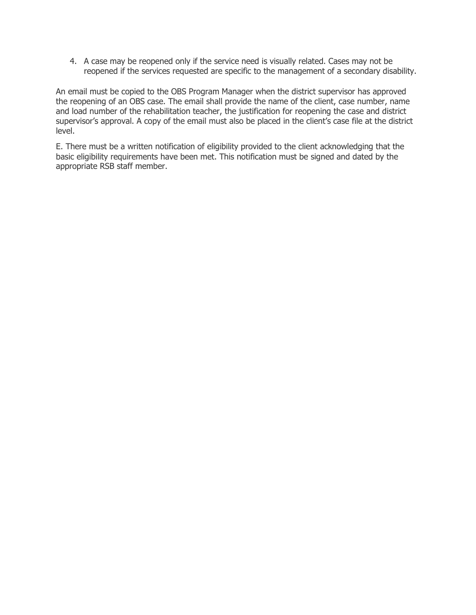4. A case may be reopened only if the service need is visually related. Cases may not be reopened if the services requested are specific to the management of a secondary disability.

An email must be copied to the OBS Program Manager when the district supervisor has approved the reopening of an OBS case. The email shall provide the name of the client, case number, name and load number of the rehabilitation teacher, the justification for reopening the case and district supervisor's approval. A copy of the email must also be placed in the client's case file at the district level.

E. There must be a written notification of eligibility provided to the client acknowledging that the basic eligibility requirements have been met. This notification must be signed and dated by the appropriate RSB staff member.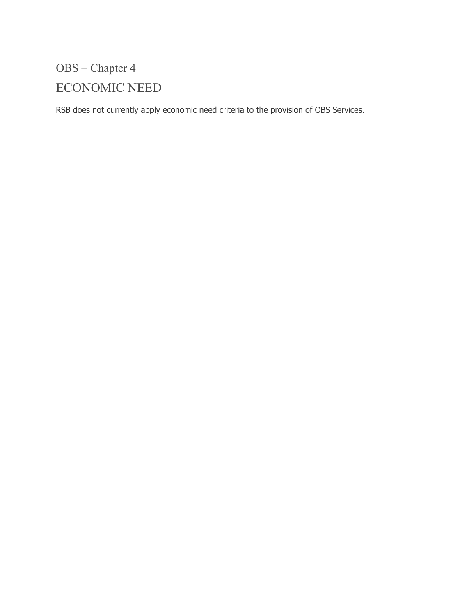# OBS – Chapter 4 ECONOMIC NEED

RSB does not currently apply economic need criteria to the provision of OBS Services.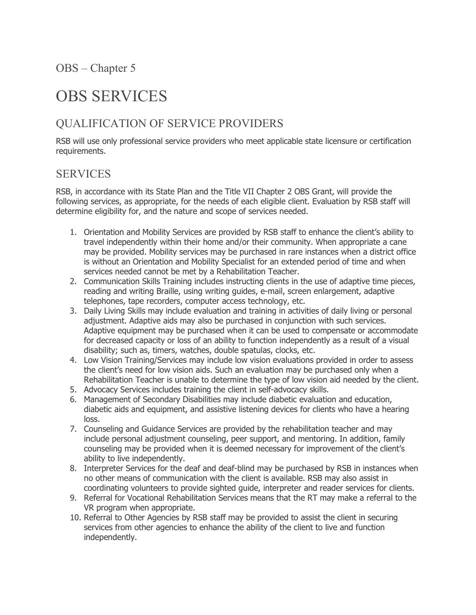# OBS SERVICES

### QUALIFICATION OF SERVICE PROVIDERS

RSB will use only professional service providers who meet applicable state licensure or certification requirements.

### **SERVICES**

RSB, in accordance with its State Plan and the Title VII Chapter 2 OBS Grant, will provide the following services, as appropriate, for the needs of each eligible client. Evaluation by RSB staff will determine eligibility for, and the nature and scope of services needed.

- 1. Orientation and Mobility Services are provided by RSB staff to enhance the client's ability to travel independently within their home and/or their community. When appropriate a cane may be provided. Mobility services may be purchased in rare instances when a district office is without an Orientation and Mobility Specialist for an extended period of time and when services needed cannot be met by a Rehabilitation Teacher.
- 2. Communication Skills Training includes instructing clients in the use of adaptive time pieces, reading and writing Braille, using writing guides, e-mail, screen enlargement, adaptive telephones, tape recorders, computer access technology, etc.
- 3. Daily Living Skills may include evaluation and training in activities of daily living or personal adjustment. Adaptive aids may also be purchased in conjunction with such services. Adaptive equipment may be purchased when it can be used to compensate or accommodate for decreased capacity or loss of an ability to function independently as a result of a visual disability; such as, timers, watches, double spatulas, clocks, etc.
- 4. Low Vision Training/Services may include low vision evaluations provided in order to assess the client's need for low vision aids. Such an evaluation may be purchased only when a Rehabilitation Teacher is unable to determine the type of low vision aid needed by the client.
- 5. Advocacy Services includes training the client in self-advocacy skills.
- 6. Management of Secondary Disabilities may include diabetic evaluation and education, diabetic aids and equipment, and assistive listening devices for clients who have a hearing loss.
- 7. Counseling and Guidance Services are provided by the rehabilitation teacher and may include personal adjustment counseling, peer support, and mentoring. In addition, family counseling may be provided when it is deemed necessary for improvement of the client's ability to live independently.
- 8. Interpreter Services for the deaf and deaf-blind may be purchased by RSB in instances when no other means of communication with the client is available. RSB may also assist in coordinating volunteers to provide sighted guide, interpreter and reader services for clients.
- 9. Referral for Vocational Rehabilitation Services means that the RT may make a referral to the VR program when appropriate.
- 10. Referral to Other Agencies by RSB staff may be provided to assist the client in securing services from other agencies to enhance the ability of the client to live and function independently.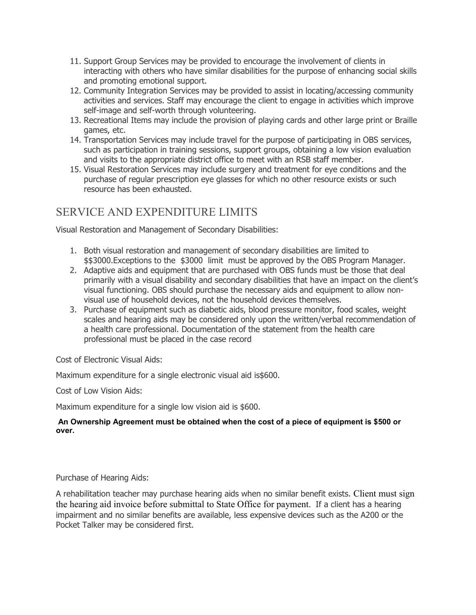- 11. Support Group Services may be provided to encourage the involvement of clients in interacting with others who have similar disabilities for the purpose of enhancing social skills and promoting emotional support.
- 12. Community Integration Services may be provided to assist in locating/accessing community activities and services. Staff may encourage the client to engage in activities which improve self-image and self-worth through volunteering.
- 13. Recreational Items may include the provision of playing cards and other large print or Braille games, etc.
- 14. Transportation Services may include travel for the purpose of participating in OBS services, such as participation in training sessions, support groups, obtaining a low vision evaluation and visits to the appropriate district office to meet with an RSB staff member.
- 15. Visual Restoration Services may include surgery and treatment for eye conditions and the purchase of regular prescription eye glasses for which no other resource exists or such resource has been exhausted.

## SERVICE AND EXPENDITURE LIMITS

Visual Restoration and Management of Secondary Disabilities:

- 1. Both visual restoration and management of secondary disabilities are limited to \$\$3000.Exceptions to the \$3000 limit must be approved by the OBS Program Manager.
- 2. Adaptive aids and equipment that are purchased with OBS funds must be those that deal primarily with a visual disability and secondary disabilities that have an impact on the client's visual functioning. OBS should purchase the necessary aids and equipment to allow nonvisual use of household devices, not the household devices themselves.
- 3. Purchase of equipment such as diabetic aids, blood pressure monitor, food scales, weight scales and hearing aids may be considered only upon the written/verbal recommendation of a health care professional. Documentation of the statement from the health care professional must be placed in the case record

Cost of Electronic Visual Aids:

Maximum expenditure for a single electronic visual aid is\$600.

Cost of Low Vision Aids:

Maximum expenditure for a single low vision aid is \$600.

#### **An Ownership Agreement must be obtained when the cost of a piece of equipment is \$500 or over.**

Purchase of Hearing Aids:

A rehabilitation teacher may purchase hearing aids when no similar benefit exists. Client must sign the hearing aid invoice before submittal to State Office for payment. If a client has a hearing impairment and no similar benefits are available, less expensive devices such as the A200 or the Pocket Talker may be considered first.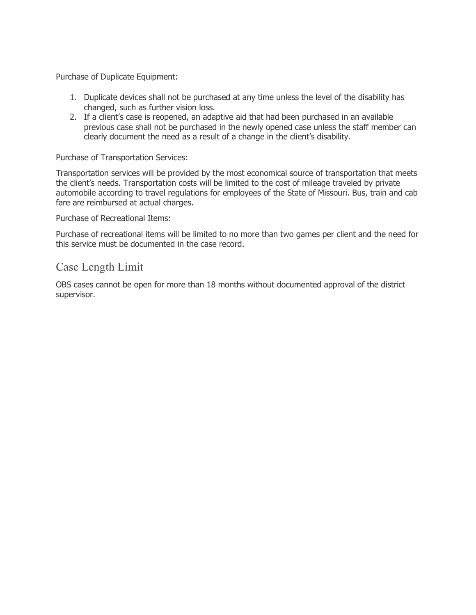Purchase of Duplicate Equipment:

- 1. Duplicate devices shall not be purchased at any time unless the level of the disability has changed, such as further vision loss.
- 2. If a client's case is reopened, an adaptive aid that had been purchased in an available previous case shall not be purchased in the newly opened case unless the staff member can clearly document the need as a result of a change in the client's disability.

#### Purchase of Transportation Services:

Transportation services will be provided by the most economical source of transportation that meets the client's needs. Transportation costs will be limited to the cost of mileage traveled by private automobile according to travel regulations for employees of the State of Missouri. Bus, train and cab fare are reimbursed at actual charges.

Purchase of Recreational Items:

Purchase of recreational items will be limited to no more than two games per client and the need for this service must be documented in the case record.

#### Case Length Limit

OBS cases cannot be open for more than 18 months without documented approval of the district supervisor.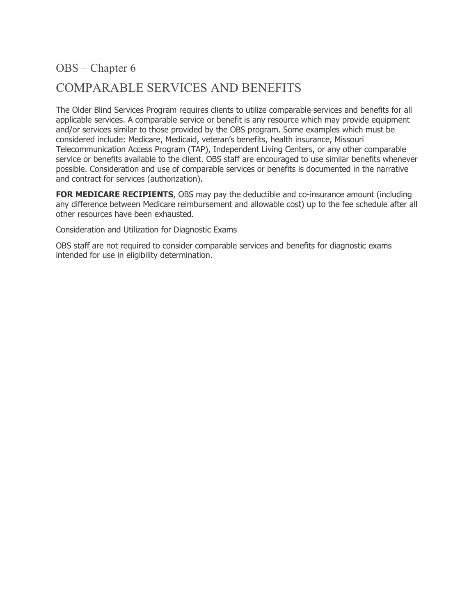# COMPARABLE SERVICES AND BENEFITS

The Older Blind Services Program requires clients to utilize comparable services and benefits for all applicable services. A comparable service or benefit is any resource which may provide equipment and/or services similar to those provided by the OBS program. Some examples which must be considered include: Medicare, Medicaid, veteran's benefits, health insurance, Missouri Telecommunication Access Program (TAP), Independent Living Centers, or any other comparable service or benefits available to the client. OBS staff are encouraged to use similar benefits whenever possible. Consideration and use of comparable services or benefits is documented in the narrative and contract for services (authorization).

**FOR MEDICARE RECIPIENTS**, OBS may pay the deductible and co-insurance amount (including any difference between Medicare reimbursement and allowable cost) up to the fee schedule after all other resources have been exhausted.

Consideration and Utilization for Diagnostic Exams

OBS staff are not required to consider comparable services and benefits for diagnostic exams intended for use in eligibility determination.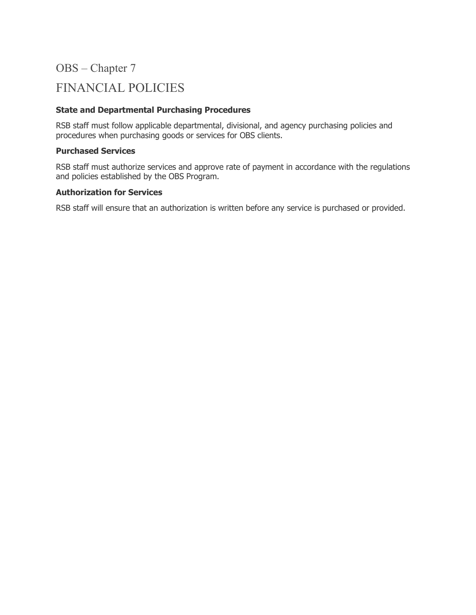# FINANCIAL POLICIES

#### **State and Departmental Purchasing Procedures**

RSB staff must follow applicable departmental, divisional, and agency purchasing policies and procedures when purchasing goods or services for OBS clients.

#### **Purchased Services**

RSB staff must authorize services and approve rate of payment in accordance with the regulations and policies established by the OBS Program.

#### **Authorization for Services**

RSB staff will ensure that an authorization is written before any service is purchased or provided.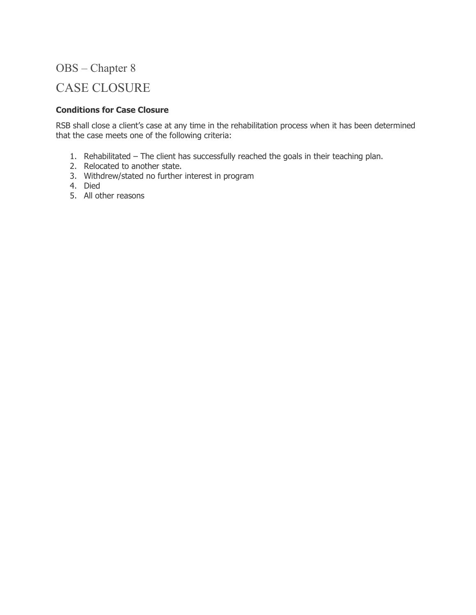# CASE CLOSURE

#### **Conditions for Case Closure**

RSB shall close a client's case at any time in the rehabilitation process when it has been determined that the case meets one of the following criteria:

- 1. Rehabilitated The client has successfully reached the goals in their teaching plan.
- 2. Relocated to another state.
- 3. Withdrew/stated no further interest in program
- 4. Died
- 5. All other reasons